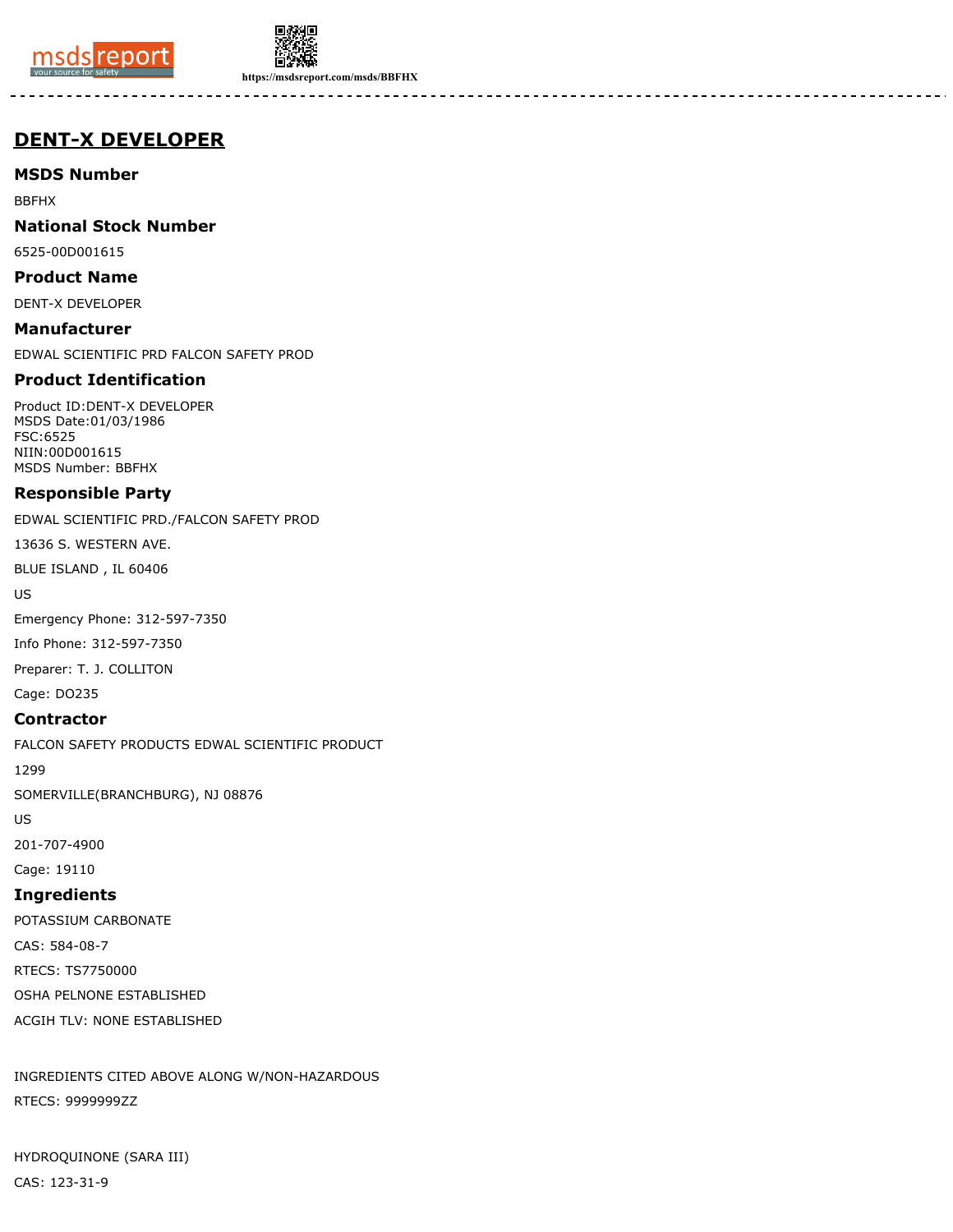



**https://msdsreport.com/msds/BBFHX**

# **DENT-X DEVELOPER**

**MSDS Number**

BBFHX

**National Stock Number**

6525-00D001615

**Product Name**

DENT-X DEVELOPER

**Manufacturer** EDWAL SCIENTIFIC PRD FALCON SAFETY PROD

## **Product Identification**

Product ID:DENT-X DEVELOPER MSDS Date:01/03/1986 FSC:6525 NIIN:00D001615 MSDS Number: BBFHX

## **Responsible Party**

EDWAL SCIENTIFIC PRD./FALCON SAFETY PROD

13636 S. WESTERN AVE.

BLUE ISLAND , IL 60406

US

Emergency Phone: 312-597-7350

Info Phone: 312-597-7350

Preparer: T. J. COLLITON

Cage: DO235

#### **Contractor**

FALCON SAFETY PRODUCTS EDWAL SCIENTIFIC PRODUCT

1299

SOMERVILLE(BRANCHBURG), NJ 08876

US

201-707-4900

Cage: 19110

## **Ingredients**

POTASSIUM CARBONATE CAS: 584-08-7 RTECS: TS7750000 OSHA PELNONE ESTABLISHED ACGIH TLV: NONE ESTABLISHED

INGREDIENTS CITED ABOVE ALONG W/NON-HAZARDOUS RTECS: 9999999ZZ

HYDROQUINONE (SARA III) CAS: 123-31-9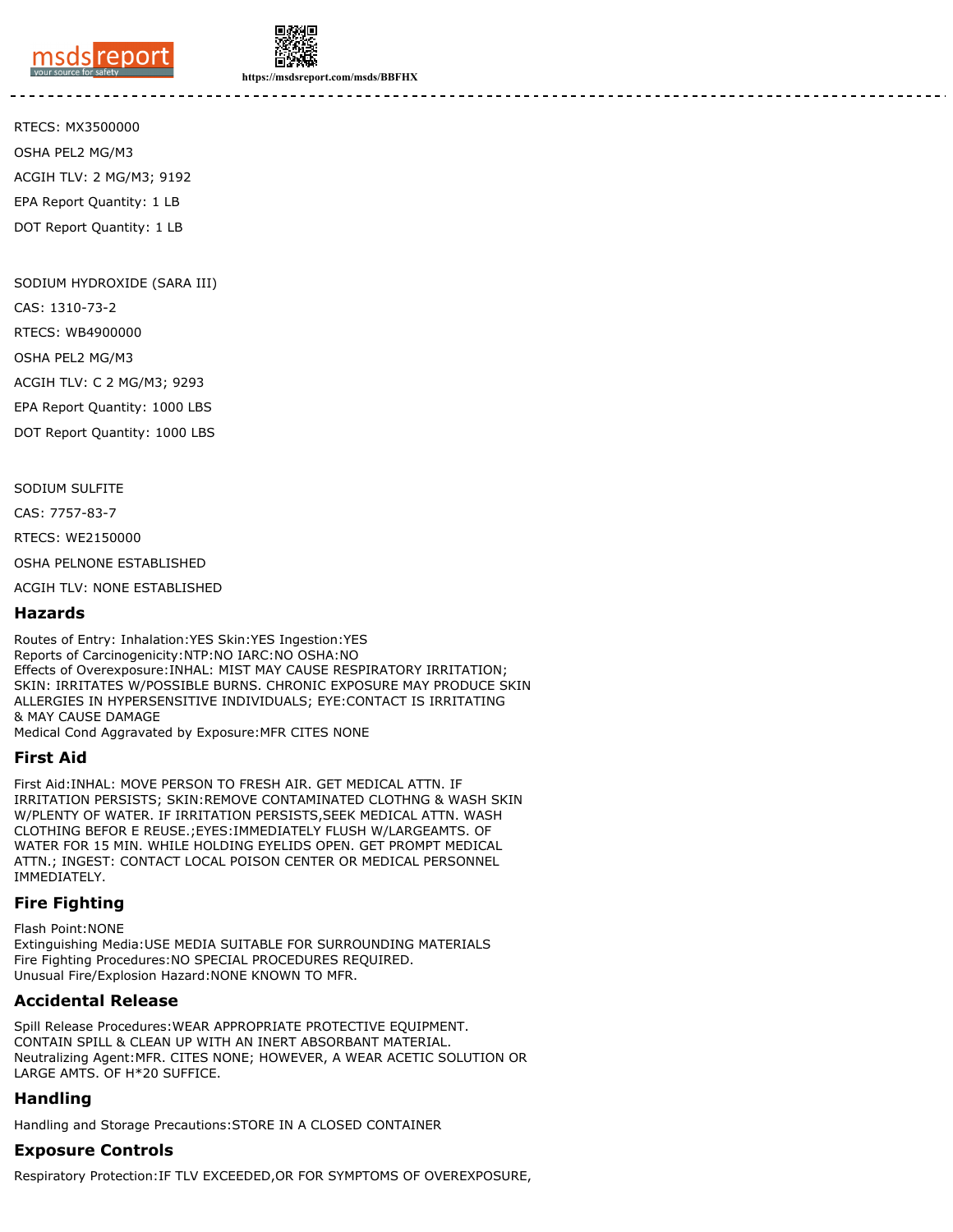



**https://msdsreport.com/msds/BBFHX**

RTECS: MX3500000 OSHA PEL2 MG/M3 ACGIH TLV: 2 MG/M3; 9192 EPA Report Quantity: 1 LB DOT Report Quantity: 1 LB

SODIUM HYDROXIDE (SARA III)

CAS: 1310-73-2

RTECS: WB4900000

OSHA PEL2 MG/M3

ACGIH TLV: C 2 MG/M3; 9293

EPA Report Quantity: 1000 LBS

DOT Report Quantity: 1000 LBS

SODIUM SULFITE

CAS: 7757-83-7

RTECS: WE2150000

OSHA PELNONE ESTABLISHED

ACGIH TLV: NONE ESTABLISHED

#### **Hazards**

Routes of Entry: Inhalation:YES Skin:YES Ingestion:YES Reports of Carcinogenicity:NTP:NO IARC:NO OSHA:NO Effects of Overexposure:INHAL: MIST MAY CAUSE RESPIRATORY IRRITATION; SKIN: IRRITATES W/POSSIBLE BURNS. CHRONIC EXPOSURE MAY PRODUCE SKIN ALLERGIES IN HYPERSENSITIVE INDIVIDUALS; EYE:CONTACT IS IRRITATING & MAY CAUSE DAMAGE

Medical Cond Aggravated by Exposure:MFR CITES NONE

#### **First Aid**

First Aid:INHAL: MOVE PERSON TO FRESH AIR. GET MEDICAL ATTN. IF IRRITATION PERSISTS; SKIN:REMOVE CONTAMINATED CLOTHNG & WASH SKIN W/PLENTY OF WATER. IF IRRITATION PERSISTS,SEEK MEDICAL ATTN. WASH CLOTHING BEFOR E REUSE.;EYES:IMMEDIATELY FLUSH W/LARGEAMTS. OF WATER FOR 15 MIN. WHILE HOLDING EYELIDS OPEN. GET PROMPT MEDICAL ATTN.; INGEST: CONTACT LOCAL POISON CENTER OR MEDICAL PERSONNEL IMMEDIATELY.

## **Fire Fighting**

Flash Point:NONE Extinguishing Media:USE MEDIA SUITABLE FOR SURROUNDING MATERIALS Fire Fighting Procedures:NO SPECIAL PROCEDURES REQUIRED. Unusual Fire/Explosion Hazard:NONE KNOWN TO MFR.

## **Accidental Release**

Spill Release Procedures:WEAR APPROPRIATE PROTECTIVE EQUIPMENT. CONTAIN SPILL & CLEAN UP WITH AN INERT ABSORBANT MATERIAL. Neutralizing Agent:MFR. CITES NONE; HOWEVER, A WEAR ACETIC SOLUTION OR LARGE AMTS. OF H\*20 SUFFICE.

## **Handling**

Handling and Storage Precautions:STORE IN A CLOSED CONTAINER

## **Exposure Controls**

Respiratory Protection:IF TLV EXCEEDED,OR FOR SYMPTOMS OF OVEREXPOSURE,